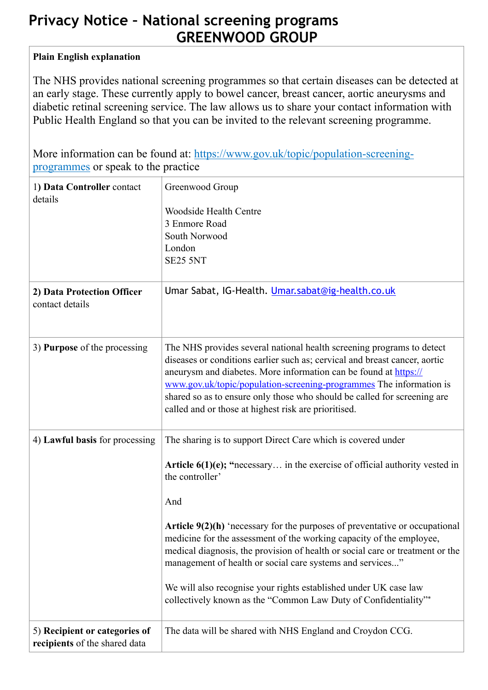## **Privacy Notice – National screening programs GREENWOOD GROUP**

## **Plain English explanation**

The NHS provides national screening programmes so that certain diseases can be detected at an early stage. These currently apply to bowel cancer, breast cancer, aortic aneurysms and diabetic retinal screening service. The law allows us to share your contact information with Public Health England so that you can be invited to the relevant screening programme.

[More information can be found at: https://www.gov.uk/topic/population-screening](https://www.gov.uk/topic/population-screening-programmes)programmes or speak to the practice

| 1) Data Controller contact<br>details                          | Greenwood Group<br><b>Woodside Health Centre</b><br>3 Enmore Road<br>South Norwood<br>London<br><b>SE25 5NT</b>                                                                                                                                                                                                                                                                                                                                                                                                                                                                                                        |
|----------------------------------------------------------------|------------------------------------------------------------------------------------------------------------------------------------------------------------------------------------------------------------------------------------------------------------------------------------------------------------------------------------------------------------------------------------------------------------------------------------------------------------------------------------------------------------------------------------------------------------------------------------------------------------------------|
| 2) Data Protection Officer<br>contact details                  | Umar Sabat, IG-Health. Umar.sabat@ig-health.co.uk                                                                                                                                                                                                                                                                                                                                                                                                                                                                                                                                                                      |
| 3) Purpose of the processing                                   | The NHS provides several national health screening programs to detect<br>diseases or conditions earlier such as; cervical and breast cancer, aortic<br>aneurysm and diabetes. More information can be found at https://<br>www.gov.uk/topic/population-screening-programmes The information is<br>shared so as to ensure only those who should be called for screening are<br>called and or those at highest risk are prioritised.                                                                                                                                                                                     |
| 4) Lawful basis for processing                                 | The sharing is to support Direct Care which is covered under<br>Article $6(1)(e)$ ; "necessary in the exercise of official authority vested in<br>the controller'<br>And<br>Article $9(2)(h)$ 'necessary for the purposes of preventative or occupational<br>medicine for the assessment of the working capacity of the employee.<br>medical diagnosis, the provision of health or social care or treatment or the<br>management of health or social care systems and services"<br>We will also recognise your rights established under UK case law<br>collectively known as the "Common Law Duty of Confidentiality"* |
| 5) Recipient or categories of<br>recipients of the shared data | The data will be shared with NHS England and Croydon CCG.                                                                                                                                                                                                                                                                                                                                                                                                                                                                                                                                                              |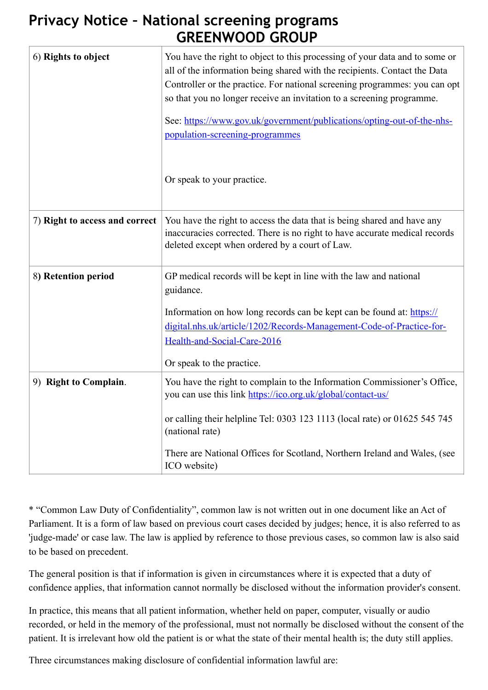## **Privacy Notice – National screening programs GREENWOOD GROUP**

| 6) Rights to object            | You have the right to object to this processing of your data and to some or<br>all of the information being shared with the recipients. Contact the Data<br>Controller or the practice. For national screening programmes: you can opt<br>so that you no longer receive an invitation to a screening programme.<br>See: https://www.gov.uk/government/publications/opting-out-of-the-nhs-<br>population-screening-programmes<br>Or speak to your practice. |
|--------------------------------|------------------------------------------------------------------------------------------------------------------------------------------------------------------------------------------------------------------------------------------------------------------------------------------------------------------------------------------------------------------------------------------------------------------------------------------------------------|
| 7) Right to access and correct | You have the right to access the data that is being shared and have any<br>inaccuracies corrected. There is no right to have accurate medical records<br>deleted except when ordered by a court of Law.                                                                                                                                                                                                                                                    |
| 8) Retention period            | GP medical records will be kept in line with the law and national<br>guidance.<br>Information on how long records can be kept can be found at: https://<br>digital.nhs.uk/article/1202/Records-Management-Code-of-Practice-for-<br>Health-and-Social-Care-2016<br>Or speak to the practice.                                                                                                                                                                |
| 9) Right to Complain.          | You have the right to complain to the Information Commissioner's Office,<br>you can use this link https://ico.org.uk/global/contact-us/<br>or calling their helpline Tel: 0303 123 1113 (local rate) or 01625 545 745<br>(national rate)<br>There are National Offices for Scotland, Northern Ireland and Wales, (see<br>ICO website)                                                                                                                      |

\* "Common Law Duty of Confidentiality", common law is not written out in one document like an Act of Parliament. It is a form of law based on previous court cases decided by judges; hence, it is also referred to as 'judge-made' or case law. The law is applied by reference to those previous cases, so common law is also said to be based on precedent.

The general position is that if information is given in circumstances where it is expected that a duty of confidence applies, that information cannot normally be disclosed without the information provider's consent.

In practice, this means that all patient information, whether held on paper, computer, visually or audio recorded, or held in the memory of the professional, must not normally be disclosed without the consent of the patient. It is irrelevant how old the patient is or what the state of their mental health is; the duty still applies.

Three circumstances making disclosure of confidential information lawful are: